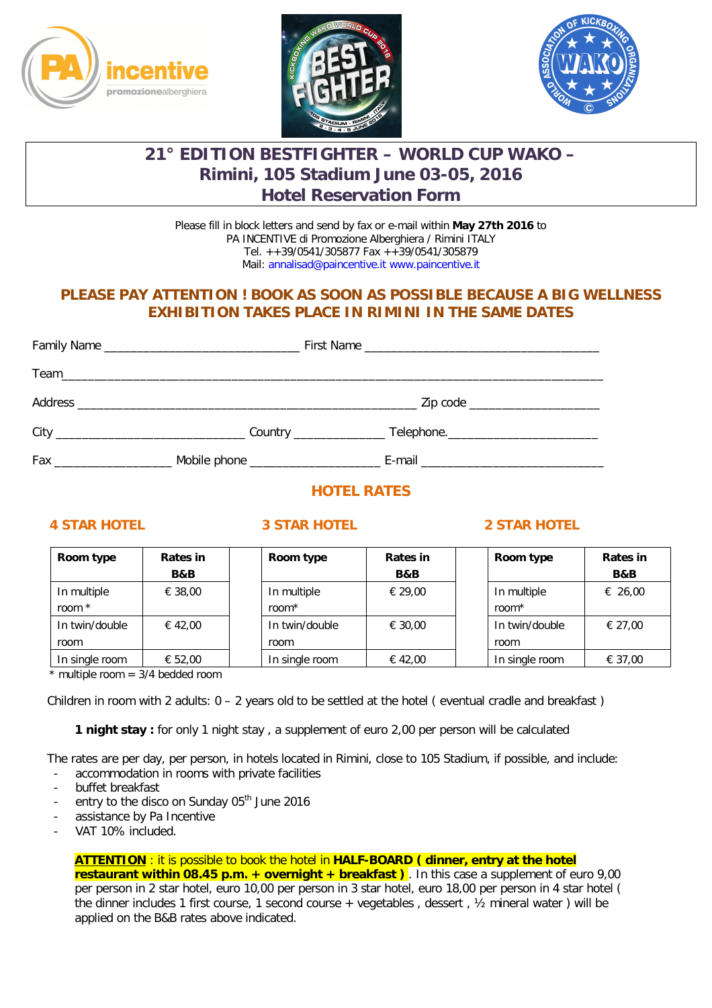





# **21° EDITION BESTFIGHTER – WORLD CUP WAKO – Rimini, 105 Stadium June 03-05, 2016 Hotel Reservation Form**

Please fill in block letters and send by fax or e-mail within **May 27th 2016** to PA INCENTIVE di Promozione Alberghiera / Rimini ITALY Tel. ++39/0541/305877 Fax ++39/0541/305879 Mail: annalisad@paincentive.it www.paincentive.it

## **PLEASE PAY ATTENTION ! BOOK AS SOON AS POSSIBLE BECAUSE A BIG WELLNESS EXHIBITION TAKES PLACE IN RIMINI IN THE SAME DATES**

|  | Zip code _____________________                                                   |
|--|----------------------------------------------------------------------------------|
|  |                                                                                  |
|  | . Mobile phone ___________________________E-mail _______________________________ |

# **HOTEL RATES**

### **4 STAR HOTEL 3 STAR HOTEL 2 STAR HOTEL**

| Room type      | Rates in       | Room type      | Rates in | Room type      | Rates in |
|----------------|----------------|----------------|----------|----------------|----------|
|                | <b>B&amp;B</b> |                | B&B      |                | B&B      |
| In multiple    | € 38,00        | In multiple    | € 29.00  | In multiple    | € 26,00  |
| room *         |                | room*          |          | room $*$       |          |
| In twin/double | € 42,00        | In twin/double | € 30.00  | In twin/double | € 27.00  |
| room           |                | room           |          | room           |          |
| In single room | € 52,00        | In single room | € 42,00  | In single room | € 37,00  |

 $*$  multiple room = 3/4 bedded room

Children in room with 2 adults:  $0 - 2$  years old to be settled at the hotel (eventual cradle and breakfast)

**1 night stay :** for only 1 night stay , a supplement of euro 2,00 per person will be calculated

 The rates are per day, per person, in hotels located in Rimini, close to 105 Stadium, if possible, and include: accommodation in rooms with private facilities

- buffet breakfast
- entry to the disco on Sunday 05<sup>th</sup> June 2016
- assistance by Pa Incentive
- VAT 10% included.

**ATTENTION** : it is possible to book the hotel in **HALF-BOARD ( dinner, entry at the hotel** 

**restaurant within 08.45 p.m. + overnight + breakfast)**. In this case a supplement of euro 9,00 per person in 2 star hotel, euro 10,00 per person in 3 star hotel, euro 18,00 per person in 4 star hotel ( the dinner includes 1 first course, 1 second course + vegetables , dessert , ½ mineral water ) will be applied on the B&B rates above indicated.